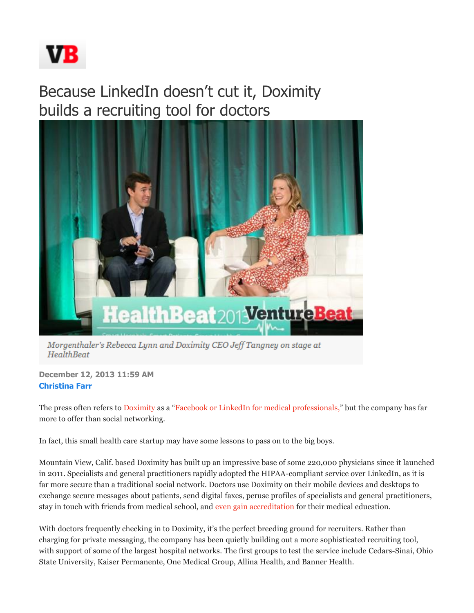

## Because LinkedIn doesn't cut it, Doximity builds a recruiting tool for doctors



Morgenthaler's Rebecca Lynn and Doximity CEO Jeff Tangney on stage at **HealthBeat** 

**December 12, 2013 11:59 AM Christina Farr** 

The press often refers to Doximity as a "Facebook or LinkedIn for medical professionals," but the company has far more to offer than social networking.

In fact, this small health care startup may have some lessons to pass on to the big boys.

Mountain View, Calif. based Doximity has built up an impressive base of some 220,000 physicians since it launched in 2011. Specialists and general practitioners rapidly adopted the HIPAA-compliant service over LinkedIn, as it is far more secure than a traditional social network. Doctors use Doximity on their mobile devices and desktops to exchange secure messages about patients, send digital faxes, peruse profiles of specialists and general practitioners, stay in touch with friends from medical school, and even gain accreditation for their medical education.

With doctors frequently checking in to Doximity, it's the perfect breeding ground for recruiters. Rather than charging for private messaging, the company has been quietly building out a more sophisticated recruiting tool, with support of some of the largest hospital networks. The first groups to test the service include Cedars-Sinai, Ohio State University, Kaiser Permanente, One Medical Group, Allina Health, and Banner Health.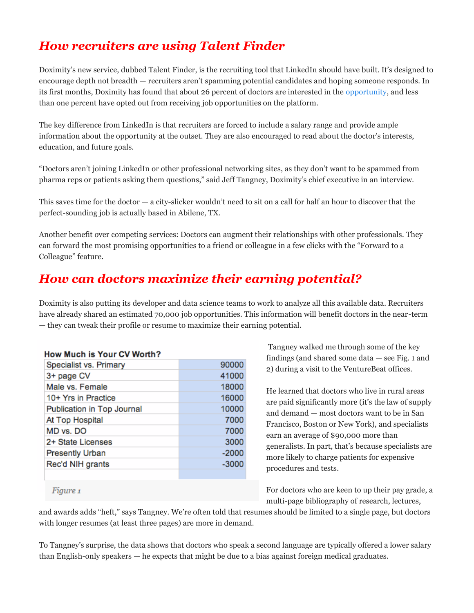## *How recruiters are using Talent Finder*

Doximity's new service, dubbed Talent Finder, is the recruiting tool that LinkedIn should have built. It's designed to encourage depth not breadth — recruiters aren't spamming potential candidates and hoping someone responds. In its first months, Doximity has found that about 26 percent of doctors are interested in the opportunity, and less than one percent have opted out from receiving job opportunities on the platform.

The key difference from LinkedIn is that recruiters are forced to include a salary range and provide ample information about the opportunity at the outset. They are also encouraged to read about the doctor's interests, education, and future goals.

"Doctors aren't joining LinkedIn or other professional networking sites, as they don't want to be spammed from pharma reps or patients asking them questions," said Jeff Tangney, Doximity's chief executive in an interview.

This saves time for the doctor — a city-slicker wouldn't need to sit on a call for half an hour to discover that the perfect-sounding job is actually based in Abilene, TX.

Another benefit over competing services: Doctors can augment their relationships with other professionals. They can forward the most promising opportunities to a friend or colleague in a few clicks with the "Forward to a Colleague" feature.

## *How can doctors maximize their earning potential?*

Doximity is also putting its developer and data science teams to work to analyze all this available data. Recruiters have already shared an estimated 70,000 job opportunities. This information will benefit doctors in the near-term — they can tweak their profile or resume to maximize their earning potential.

| How Much is Your CV Worth? |         |
|----------------------------|---------|
| Specialist vs. Primary     | 90000   |
| 3+ page CV                 | 41000   |
| Male vs. Female            | 18000   |
| 10+ Yrs in Practice        | 16000   |
| Publication in Top Journal | 10000   |
| At Top Hospital            | 7000    |
| MD vs. DO                  | 7000    |
| 2+ State Licenses          | 3000    |
| <b>Presently Urban</b>     | $-2000$ |
| Rec'd NIH grants           | $-3000$ |
|                            |         |

Tangney walked me through some of the key findings (and shared some data — see Fig. 1 and 2) during a visit to the VentureBeat offices.

He learned that doctors who live in rural areas are paid significantly more (it's the law of supply and demand — most doctors want to be in San Francisco, Boston or New York), and specialists earn an average of \$90,000 more than generalists. In part, that's because specialists are more likely to charge patients for expensive procedures and tests.

For doctors who are keen to up their pay grade, a multi-page bibliography of research, lectures,

Figure 1

and awards adds "heft," says Tangney. We're often told that resumes should be limited to a single page, but doctors with longer resumes (at least three pages) are more in demand.

To Tangney's surprise, the data shows that doctors who speak a second language are typically offered a lower salary than English-only speakers — he expects that might be due to a bias against foreign medical graduates.